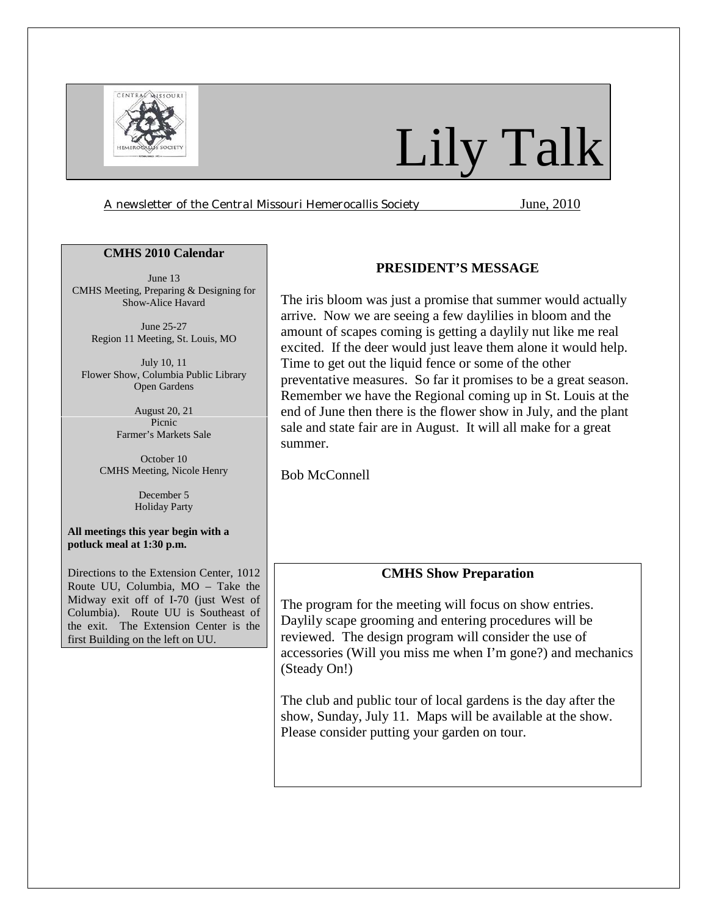

# Lily Talk

*A newsletter of the Central Missouri Hemerocallis Society* June, 2010

### **CMHS 2010 Calendar**

June 13 CMHS Meeting, Preparing & Designing for Show-Alice Havard

> June 25-27 Region 11 Meeting, St. Louis, MO

July 10, 11 Flower Show, Columbia Public Library Open Gardens

> August 20, 21 Picnic Farmer's Markets Sale

October 10 CMHS Meeting, Nicole Henry

> December 5 Holiday Party

**All meetings this year begin with a potluck meal at 1:30 p.m.** 

Directions to the Extension Center, 1012 Route UU, Columbia, MO – Take the Midway exit off of I-70 (just West of Columbia). Route UU is Southeast of the exit. The Extension Center is the first Building on the left on UU.

# **PRESIDENT'S MESSAGE**

The iris bloom was just a promise that summer would actually arrive. Now we are seeing a few daylilies in bloom and the amount of scapes coming is getting a daylily nut like me real excited. If the deer would just leave them alone it would help. Time to get out the liquid fence or some of the other preventative measures. So far it promises to be a great season. Remember we have the Regional coming up in St. Louis at the end of June then there is the flower show in July, and the plant sale and state fair are in August. It will all make for a great summer.

Bob McConnell

# **CMHS Show Preparation**

The program for the meeting will focus on show entries. Daylily scape grooming and entering procedures will be reviewed. The design program will consider the use of accessories (Will you miss me when I'm gone?) and mechanics (Steady On!)

The club and public tour of local gardens is the day after the show, Sunday, July 11. Maps will be available at the show. Please consider putting your garden on tour.